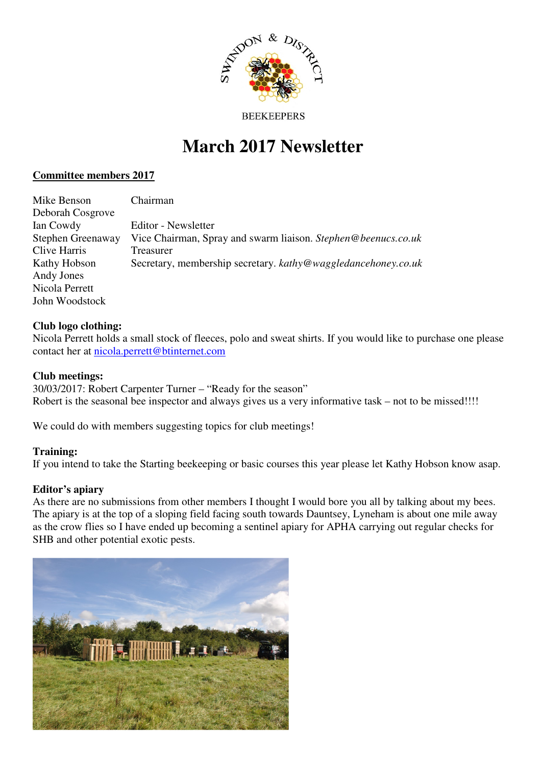

#### **BEEKEEPERS**

# **March 2017 Newsletter**

## **Committee members 2017**

| Mike Benson       | Chairman                                                      |
|-------------------|---------------------------------------------------------------|
| Deborah Cosgrove  |                                                               |
| Ian Cowdy         | Editor - Newsletter                                           |
| Stephen Greenaway | Vice Chairman, Spray and swarm liaison. Stephen@beenucs.co.uk |
| Clive Harris      | Treasurer                                                     |
| Kathy Hobson      | Secretary, membership secretary. kathy@waggledancehoney.co.uk |
| Andy Jones        |                                                               |
| Nicola Perrett    |                                                               |
| John Woodstock    |                                                               |

## **Club logo clothing:**

Nicola Perrett holds a small stock of fleeces, polo and sweat shirts. If you would like to purchase one please contact her at nicola.perrett@btinternet.com

## **Club meetings:**

30/03/2017: Robert Carpenter Turner – "Ready for the season" Robert is the seasonal bee inspector and always gives us a very informative task – not to be missed!!!!

We could do with members suggesting topics for club meetings!

### **Training:**

If you intend to take the Starting beekeeping or basic courses this year please let Kathy Hobson know asap.

### **Editor's apiary**

As there are no submissions from other members I thought I would bore you all by talking about my bees. The apiary is at the top of a sloping field facing south towards Dauntsey, Lyneham is about one mile away as the crow flies so I have ended up becoming a sentinel apiary for APHA carrying out regular checks for SHB and other potential exotic pests.